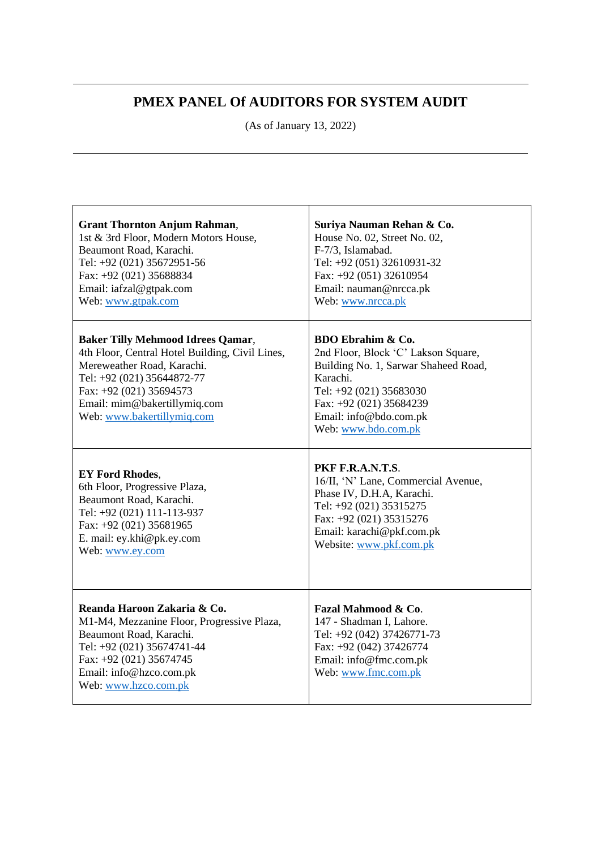## **PMEX PANEL Of AUDITORS FOR SYSTEM AUDIT**

(As of January 13, 2022)

| <b>Grant Thornton Anjum Rahman,</b>                                                                                                                                                                                                              | Suriya Nauman Rehan & Co.                                                                                                                                                                                                      |
|--------------------------------------------------------------------------------------------------------------------------------------------------------------------------------------------------------------------------------------------------|--------------------------------------------------------------------------------------------------------------------------------------------------------------------------------------------------------------------------------|
| 1st & 3rd Floor, Modern Motors House,                                                                                                                                                                                                            | House No. 02, Street No. 02,                                                                                                                                                                                                   |
| Beaumont Road, Karachi.                                                                                                                                                                                                                          | F-7/3, Islamabad.                                                                                                                                                                                                              |
| Tel: +92 (021) 35672951-56                                                                                                                                                                                                                       | Tel: +92 (051) 32610931-32                                                                                                                                                                                                     |
| Fax: +92 (021) 35688834                                                                                                                                                                                                                          | Fax: +92 (051) 32610954                                                                                                                                                                                                        |
| Email: iafzal@gtpak.com                                                                                                                                                                                                                          | Email: nauman@nrcca.pk                                                                                                                                                                                                         |
| Web: www.gtpak.com                                                                                                                                                                                                                               | Web: www.nrcca.pk                                                                                                                                                                                                              |
| <b>Baker Tilly Mehmood Idrees Qamar,</b><br>4th Floor, Central Hotel Building, Civil Lines,<br>Mereweather Road, Karachi.<br>Tel: +92 (021) 35644872-77<br>Fax: +92 (021) 35694573<br>Email: mim@bakertillymiq.com<br>Web: www.bakertillymiq.com | <b>BDO Ebrahim &amp; Co.</b><br>2nd Floor, Block 'C' Lakson Square,<br>Building No. 1, Sarwar Shaheed Road,<br>Karachi.<br>Tel: +92 (021) 35683030<br>Fax: +92 (021) 35684239<br>Email: info@bdo.com.pk<br>Web: www.bdo.com.pk |
| <b>EY Ford Rhodes,</b>                                                                                                                                                                                                                           | PKF F.R.A.N.T.S.                                                                                                                                                                                                               |
| 6th Floor, Progressive Plaza,                                                                                                                                                                                                                    | 16/II, 'N' Lane, Commercial Avenue,                                                                                                                                                                                            |
| Beaumont Road, Karachi.                                                                                                                                                                                                                          | Phase IV, D.H.A, Karachi.                                                                                                                                                                                                      |
| Tel: +92 (021) 111-113-937                                                                                                                                                                                                                       | Tel: +92 (021) 35315275                                                                                                                                                                                                        |
| Fax: +92 (021) 35681965                                                                                                                                                                                                                          | Fax: +92 (021) 35315276                                                                                                                                                                                                        |
| E. mail: ey.khi@pk.ey.com                                                                                                                                                                                                                        | Email: karachi@pkf.com.pk                                                                                                                                                                                                      |
| Web: www.ey.com                                                                                                                                                                                                                                  | Website: www.pkf.com.pk                                                                                                                                                                                                        |
| Reanda Haroon Zakaria & Co.<br>M1-M4, Mezzanine Floor, Progressive Plaza,<br>Beaumont Road, Karachi.<br>Tel: +92 (021) 35674741-44<br>Fax: +92 (021) 35674745<br>Email: info@hzco.com.pk<br>Web: www.hzco.com.pk                                 | Fazal Mahmood & Co.<br>147 - Shadman I, Lahore.<br>Tel: +92 (042) 37426771-73<br>Fax: +92 (042) 37426774<br>Email: info@fmc.com.pk<br>Web: www.fmc.com.pk                                                                      |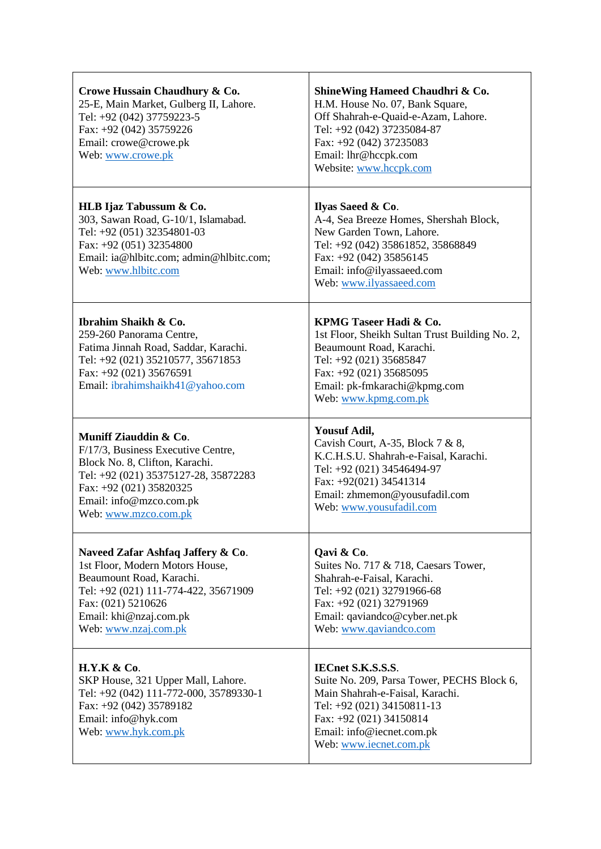| Crowe Hussain Chaudhury & Co.<br>25-E, Main Market, Gulberg II, Lahore.<br>Tel: +92 (042) 37759223-5<br>Fax: +92 (042) 35759226<br>Email: crowe@crowe.pk<br>Web: www.crowe.pk                                         | ShineWing Hameed Chaudhri & Co.<br>H.M. House No. 07, Bank Square,<br>Off Shahrah-e-Quaid-e-Azam, Lahore.<br>Tel: +92 (042) 37235084-87<br>Fax: +92 (042) 37235083<br>Email: lhr@hccpk.com<br>Website: www.hccpk.com      |
|-----------------------------------------------------------------------------------------------------------------------------------------------------------------------------------------------------------------------|---------------------------------------------------------------------------------------------------------------------------------------------------------------------------------------------------------------------------|
| HLB Ijaz Tabussum & Co.<br>303, Sawan Road, G-10/1, Islamabad.<br>Tel: +92 (051) 32354801-03<br>Fax: +92 (051) 32354800<br>Email: ia@hlbitc.com; admin@hlbitc.com;<br>Web: www.hlbitc.com                             | Ilyas Saeed & Co.<br>A-4, Sea Breeze Homes, Shershah Block,<br>New Garden Town, Lahore.<br>Tel: +92 (042) 35861852, 35868849<br>Fax: $+92(042)$ 35856145<br>Email: info@ilyassaeed.com<br>Web: www.ilyassaeed.com         |
| Ibrahim Shaikh & Co.<br>259-260 Panorama Centre,<br>Fatima Jinnah Road, Saddar, Karachi.<br>Tel: +92 (021) 35210577, 35671853<br>Fax: +92 (021) 35676591<br>Email: ibrahimshaikh41@yahoo.com                          | KPMG Taseer Hadi & Co.<br>1st Floor, Sheikh Sultan Trust Building No. 2,<br>Beaumount Road, Karachi.<br>Tel: +92 (021) 35685847<br>Fax: $+92$ (021) 35685095<br>Email: pk-fmkarachi@kpmg.com<br>Web: www.kpmg.com.pk      |
| Muniff Ziauddin & Co.<br>F/17/3, Business Executive Centre,<br>Block No. 8, Clifton, Karachi.<br>Tel: +92 (021) 35375127-28, 35872283<br>Fax: $+92$ (021) 35820325<br>Email: info@mzco.com.pk<br>Web: www.mzco.com.pk | <b>Yousuf Adil,</b><br>Cavish Court, A-35, Block $7 & 8,$<br>K.C.H.S.U. Shahrah-e-Faisal, Karachi.<br>Tel: +92 (021) 34546494-97<br>Fax: $+92(021)$ 34541314<br>Email: zhmemon@yousufadil.com<br>Web: www.yousufadil.com  |
| Naveed Zafar Ashfaq Jaffery & Co.<br>1st Floor, Modern Motors House,<br>Beaumount Road, Karachi.<br>Tel: +92 (021) 111-774-422, 35671909<br>Fax: (021) 5210626<br>Email: khi@nzaj.com.pk<br>Web: www.nzaj.com.pk      | Qavi & Co.<br>Suites No. 717 & 718, Caesars Tower,<br>Shahrah-e-Faisal, Karachi.<br>Tel: +92 (021) 32791966-68<br>Fax: +92 (021) 32791969<br>Email: qaviandco@cyber.net.pk<br>Web: www.qaviandco.com                      |
| <b>H.Y.K &amp; Co.</b><br>SKP House, 321 Upper Mall, Lahore.<br>Tel: +92 (042) 111-772-000, 35789330-1<br>Fax: +92 (042) 35789182<br>Email: info@hyk.com<br>Web: www.hyk.com.pk                                       | <b>IECnet S.K.S.S.S.</b><br>Suite No. 209, Parsa Tower, PECHS Block 6,<br>Main Shahrah-e-Faisal, Karachi.<br>Tel: +92 (021) 34150811-13<br>Fax: +92 (021) 34150814<br>Email: info@iecnet.com.pk<br>Web: www.iecnet.com.pk |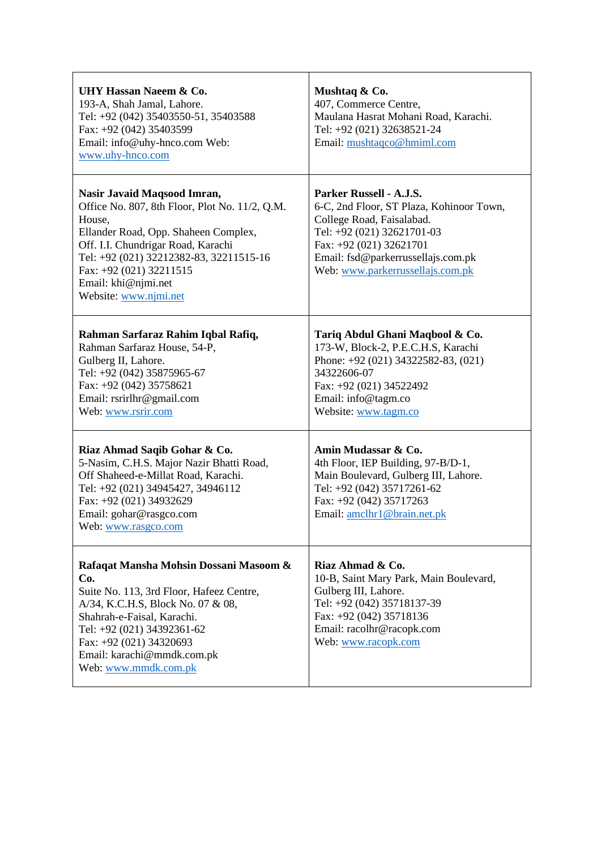| UHY Hassan Naeem & Co.<br>193-A, Shah Jamal, Lahore.<br>Tel: +92 (042) 35403550-51, 35403588<br>Fax: +92 (042) 35403599<br>Email: info@uhy-hnco.com Web:<br>www.uhy-hnco.com                                                                                                                | Mushtaq & Co.<br>407, Commerce Centre,<br>Maulana Hasrat Mohani Road, Karachi.<br>Tel: +92 (021) 32638521-24<br>Email: mushtaqco@hmiml.com                                                                                          |
|---------------------------------------------------------------------------------------------------------------------------------------------------------------------------------------------------------------------------------------------------------------------------------------------|-------------------------------------------------------------------------------------------------------------------------------------------------------------------------------------------------------------------------------------|
| Nasir Javaid Maqsood Imran,<br>Office No. 807, 8th Floor, Plot No. 11/2, Q.M.<br>House,<br>Ellander Road, Opp. Shaheen Complex,<br>Off. I.I. Chundrigar Road, Karachi<br>Tel: +92 (021) 32212382-83, 32211515-16<br>Fax: +92 (021) 32211515<br>Email: khi@njmi.net<br>Website: www.njmi.net | Parker Russell - A.J.S.<br>6-C, 2nd Floor, ST Plaza, Kohinoor Town,<br>College Road, Faisalabad.<br>Tel: +92 (021) 32621701-03<br>Fax: +92 (021) 32621701<br>Email: fsd@parkerrussellajs.com.pk<br>Web: www.parkerrussellajs.com.pk |
| Rahman Sarfaraz Rahim Iqbal Rafiq,<br>Rahman Sarfaraz House, 54-P,<br>Gulberg II, Lahore.<br>Tel: +92 (042) 35875965-67<br>Fax: +92 (042) 35758621<br>Email: rsrirlhr@gmail.com<br>Web: www.rsrir.com                                                                                       | Tariq Abdul Ghani Maqbool & Co.<br>173-W, Block-2, P.E.C.H.S, Karachi<br>Phone: +92 (021) 34322582-83, (021)<br>34322606-07<br>Fax: +92 (021) 34522492<br>Email: info@tagm.co<br>Website: www.tagm.co                               |
| Riaz Ahmad Saqib Gohar & Co.<br>5-Nasim, C.H.S. Major Nazir Bhatti Road,<br>Off Shaheed-e-Millat Road, Karachi.<br>Tel: +92 (021) 34945427, 34946112<br>Fax: +92 (021) 34932629<br>Email: gohar@rasgco.com<br>Web: www.rasgco.com                                                           | Amin Mudassar & Co.<br>4th Floor, IEP Building, 97-B/D-1,<br>Main Boulevard, Gulberg III, Lahore.<br>Tel: +92 (042) 35717261-62<br>Fax: +92 (042) 35717263<br>Email: amclhr1@brain.net.pk                                           |
| Rafaqat Mansha Mohsin Dossani Masoom &<br>Co.<br>Suite No. 113, 3rd Floor, Hafeez Centre,<br>A/34, K.C.H.S, Block No. 07 & 08,<br>Shahrah-e-Faisal, Karachi.<br>Tel: +92 (021) 34392361-62<br>Fax: +92 (021) 34320693<br>Email: karachi@mmdk.com.pk<br>Web: www.mmdk.com.pk                 | Riaz Ahmad & Co.<br>10-B, Saint Mary Park, Main Boulevard,<br>Gulberg III, Lahore.<br>Tel: +92 (042) 35718137-39<br>Fax: +92 (042) 35718136<br>Email: racolhr@racopk.com<br>Web: www.racopk.com                                     |